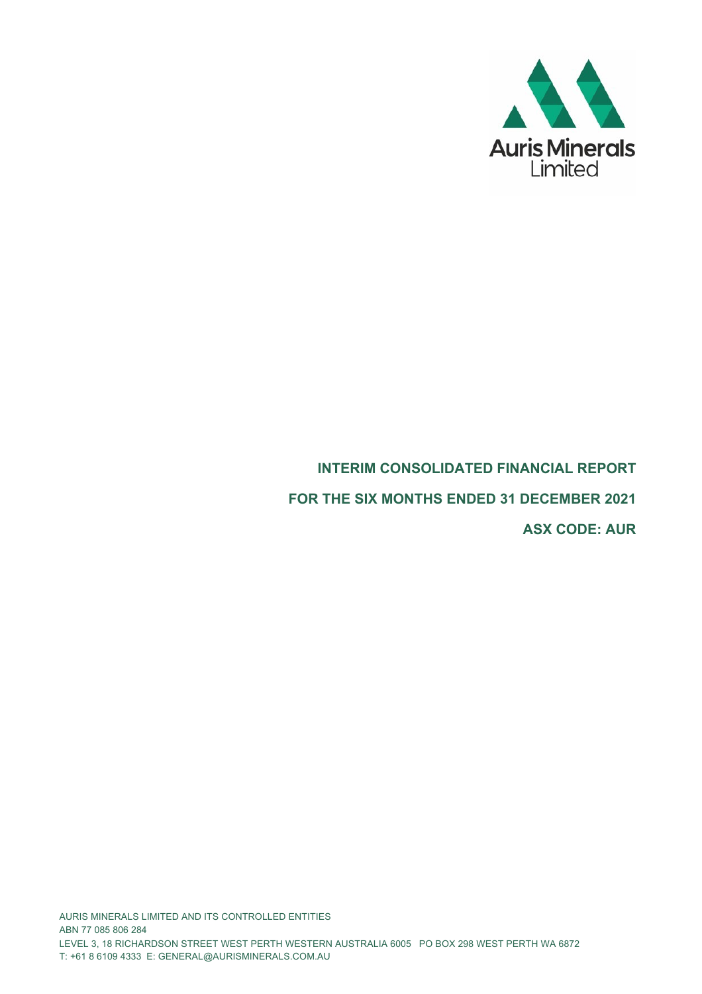

# **INTERIM CONSOLIDATED FINANCIAL REPORT**

**FOR THE SIX MONTHS ENDED 31 DECEMBER 2021**

**ASX CODE: AUR**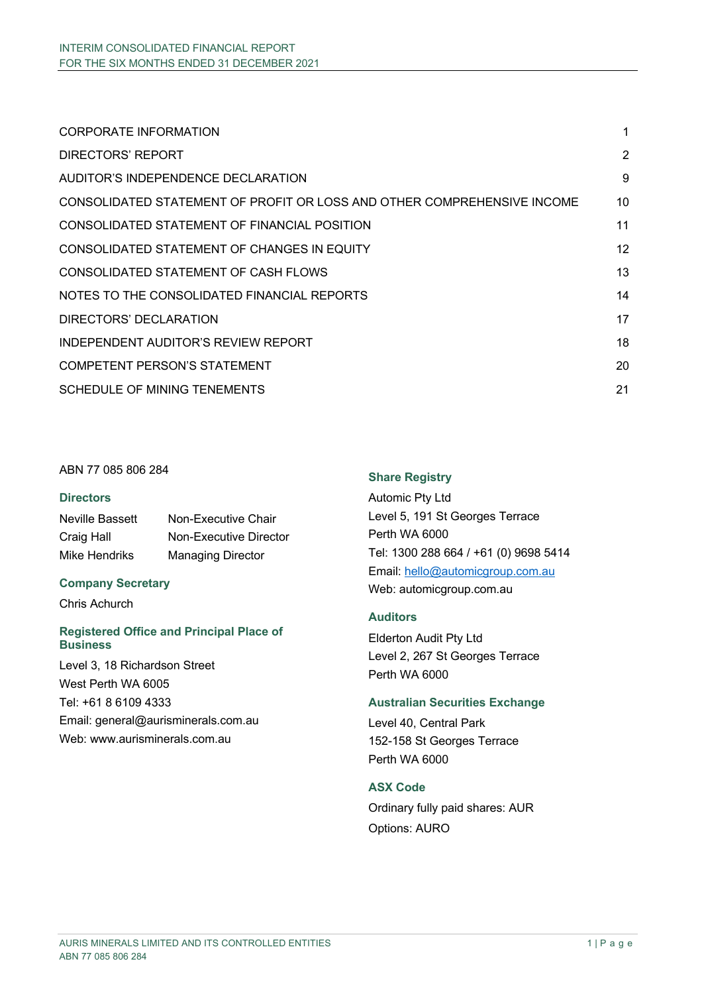| CORPORATE INFORMATION                                                   | 1  |
|-------------------------------------------------------------------------|----|
| DIRECTORS' REPORT                                                       | 2  |
| AUDITOR'S INDEPENDENCE DECLARATION                                      | 9  |
| CONSOLIDATED STATEMENT OF PROFIT OR LOSS AND OTHER COMPREHENSIVE INCOME | 10 |
| CONSOLIDATED STATEMENT OF FINANCIAL POSITION                            | 11 |
| CONSOLIDATED STATEMENT OF CHANGES IN EQUITY                             | 12 |
| CONSOLIDATED STATEMENT OF CASH FLOWS                                    | 13 |
| NOTES TO THE CONSOLIDATED FINANCIAL REPORTS                             | 14 |
| DIRECTORS' DECLARATION                                                  | 17 |
| INDEPENDENT AUDITOR'S REVIEW REPORT                                     | 18 |
| <b>COMPETENT PERSON'S STATEMENT</b>                                     | 20 |
| SCHEDULE OF MINING TENEMENTS                                            | 21 |

# ABN 77 085 806 284

#### **Directors**

Neville Bassett Non-Executive Chair Craig Hall **Non-Executive Director** Mike Hendriks Managing Director

#### **Company Secretary**

Chris Achurch

#### **Registered Office and Principal Place of Business**

Level 3, 18 Richardson Street West Perth WA 6005 Tel: +61 8 6109 4333 Email: general@aurisminerals.com.au Web: www.aurisminerals.com.au

# **Share Registry**

Automic Pty Ltd Level 5, 191 St Georges Terrace Perth WA 6000 Tel: 1300 288 664 / +61 (0) 9698 5414 Email: hello@automicgroup.com.au Web: automicgroup.com.au

# **Auditors**

Elderton Audit Pty Ltd Level 2, 267 St Georges Terrace Perth WA 6000

#### **Australian Securities Exchange**

Level 40, Central Park 152-158 St Georges Terrace Perth WA 6000

# **ASX Code**

Ordinary fully paid shares: AUR Options: AURO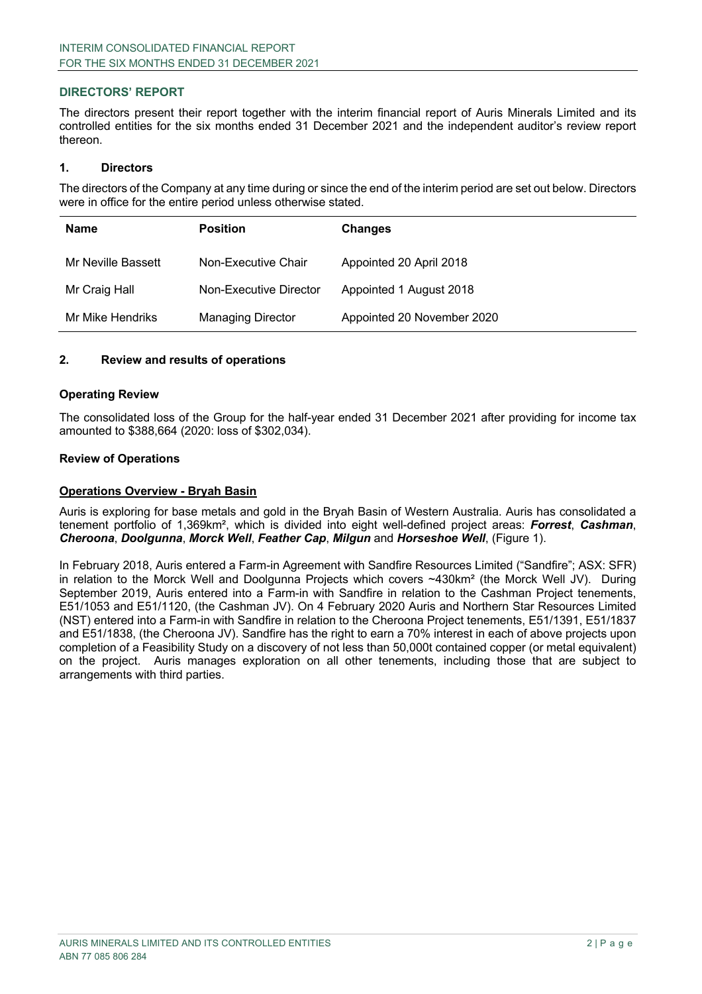The directors present their report together with the interim financial report of Auris Minerals Limited and its controlled entities for the six months ended 31 December 2021 and the independent auditor's review report thereon.

#### **1. Directors**

The directors of the Company at any time during or since the end of the interim period are set out below. Directors were in office for the entire period unless otherwise stated.

| <b>Name</b>        | <b>Position</b>          | <b>Changes</b>             |
|--------------------|--------------------------|----------------------------|
| Mr Neville Bassett | Non-Executive Chair      | Appointed 20 April 2018    |
| Mr Craig Hall      | Non-Executive Director   | Appointed 1 August 2018    |
| Mr Mike Hendriks   | <b>Managing Director</b> | Appointed 20 November 2020 |

#### **2. Review and results of operations**

#### **Operating Review**

The consolidated loss of the Group for the half-year ended 31 December 2021 after providing for income tax amounted to \$388,664 (2020: loss of \$302,034).

#### **Review of Operations**

#### **Operations Overview - Bryah Basin**

Auris is exploring for base metals and gold in the Bryah Basin of Western Australia. Auris has consolidated a tenement portfolio of 1,369km², which is divided into eight well-defined project areas: *Forrest*, *Cashman*, *Cheroona*, *Doolgunna*, *Morck Well*, *Feather Cap*, *Milgun* and *Horseshoe Well*, (Figure 1).

In February 2018, Auris entered a Farm-in Agreement with Sandfire Resources Limited ("Sandfire"; ASX: SFR) in relation to the Morck Well and Doolgunna Projects which covers ~430km² (the Morck Well JV). During September 2019, Auris entered into a Farm-in with Sandfire in relation to the Cashman Project tenements, E51/1053 and E51/1120, (the Cashman JV). On 4 February 2020 Auris and Northern Star Resources Limited (NST) entered into a Farm-in with Sandfire in relation to the Cheroona Project tenements, E51/1391, E51/1837 and E51/1838, (the Cheroona JV). Sandfire has the right to earn a 70% interest in each of above projects upon completion of a Feasibility Study on a discovery of not less than 50,000t contained copper (or metal equivalent) on the project. Auris manages exploration on all other tenements, including those that are subject to arrangements with third parties.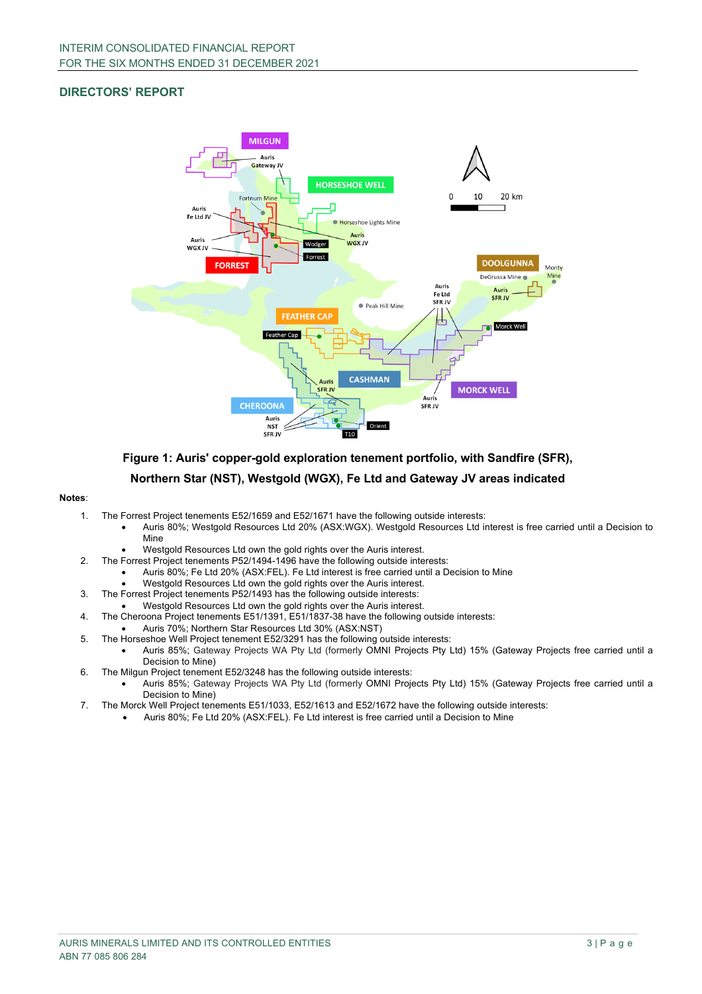

**Figure 1: Auris' copper-gold exploration tenement portfolio, with Sandfire (SFR),** 

#### **Northern Star (NST), Westgold (WGX), Fe Ltd and Gateway JV areas indicated**

#### **Notes**:

- 1. The Forrest Project tenements E52/1659 and E52/1671 have the following outside interests:
	- Auris 80%; Westgold Resources Ltd 20% (ASX:WGX). Westgold Resources Ltd interest is free carried until a Decision to Mine
		- Westgold Resources Ltd own the gold rights over the Auris interest.
- 2. The Forrest Project tenements P52/1494-1496 have the following outside interests:
	- Auris 80%; Fe Ltd 20% (ASX:FEL). Fe Ltd interest is free carried until a Decision to Mine
	- Westgold Resources Ltd own the gold rights over the Auris interest.
- 3. The Forrest Project tenements P52/1493 has the following outside interests:
	- Westgold Resources Ltd own the gold rights over the Auris interest.
- 4. The Cheroona Project tenements E51/1391, E51/1837-38 have the following outside interests:
- Auris 70%; Northern Star Resources Ltd 30% (ASX:NST)
- 5. The Horseshoe Well Project tenement E52/3291 has the following outside interests:
	- Auris 85%; Gateway Projects WA Pty Ltd (formerly OMNI Projects Pty Ltd) 15% (Gateway Projects free carried until a Decision to Mine)
- 6. The Milgun Project tenement E52/3248 has the following outside interests:
	- Auris 85%; Gateway Projects WA Pty Ltd (formerly OMNI Projects Pty Ltd) 15% (Gateway Projects free carried until a Decision to Mine)
- 7. The Morck Well Project tenements E51/1033, E52/1613 and E52/1672 have the following outside interests:
	- Auris 80%; Fe Ltd 20% (ASX:FEL). Fe Ltd interest is free carried until a Decision to Mine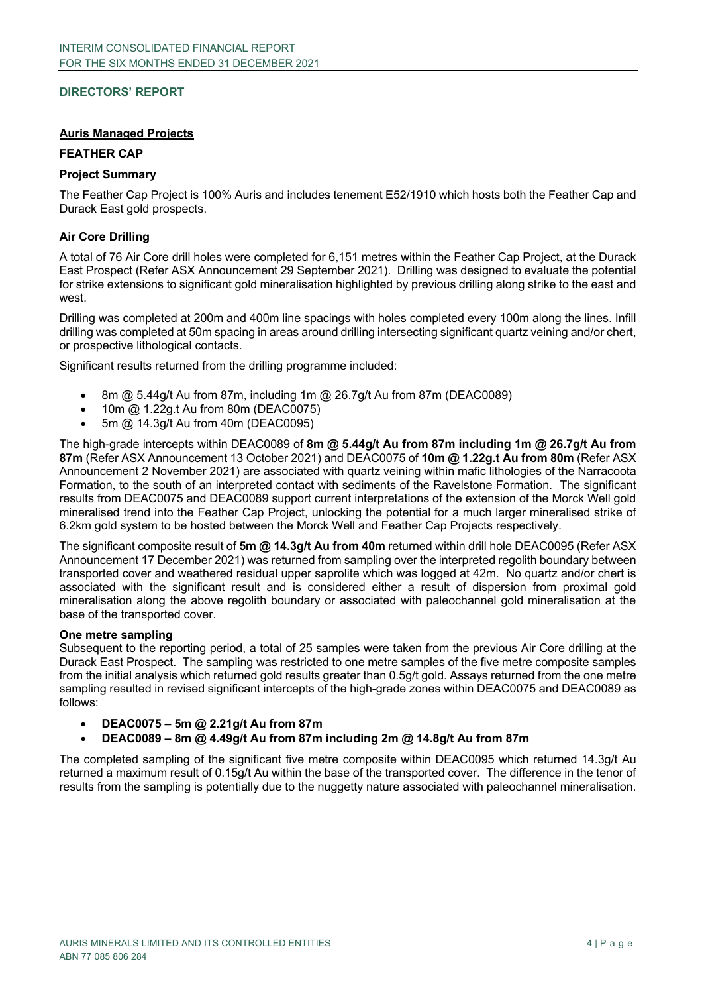#### **Auris Managed Projects**

#### **FEATHER CAP**

#### **Project Summary**

The Feather Cap Project is 100% Auris and includes tenement E52/1910 which hosts both the Feather Cap and Durack East gold prospects.

#### **Air Core Drilling**

A total of 76 Air Core drill holes were completed for 6,151 metres within the Feather Cap Project, at the Durack East Prospect (Refer ASX Announcement 29 September 2021). Drilling was designed to evaluate the potential for strike extensions to significant gold mineralisation highlighted by previous drilling along strike to the east and west.

Drilling was completed at 200m and 400m line spacings with holes completed every 100m along the lines. Infill drilling was completed at 50m spacing in areas around drilling intersecting significant quartz veining and/or chert, or prospective lithological contacts.

Significant results returned from the drilling programme included:

- 8m @ 5.44g/t Au from 87m, including 1m @ 26.7g/t Au from 87m (DEAC0089)
- 10m @ 1.22g.t Au from 80m (DEAC0075)
- 5m @ 14.3g/t Au from 40m (DEAC0095)

The high-grade intercepts within DEAC0089 of **8m @ 5.44g/t Au from 87m including 1m @ 26.7g/t Au from 87m** (Refer ASX Announcement 13 October 2021) and DEAC0075 of **10m @ 1.22g.t Au from 80m** (Refer ASX Announcement 2 November 2021) are associated with quartz veining within mafic lithologies of the Narracoota Formation, to the south of an interpreted contact with sediments of the Ravelstone Formation. The significant results from DEAC0075 and DEAC0089 support current interpretations of the extension of the Morck Well gold mineralised trend into the Feather Cap Project, unlocking the potential for a much larger mineralised strike of 6.2km gold system to be hosted between the Morck Well and Feather Cap Projects respectively.

The significant composite result of **5m @ 14.3g/t Au from 40m** returned within drill hole DEAC0095 (Refer ASX Announcement 17 December 2021) was returned from sampling over the interpreted regolith boundary between transported cover and weathered residual upper saprolite which was logged at 42m. No quartz and/or chert is associated with the significant result and is considered either a result of dispersion from proximal gold mineralisation along the above regolith boundary or associated with paleochannel gold mineralisation at the base of the transported cover.

#### **One metre sampling**

Subsequent to the reporting period, a total of 25 samples were taken from the previous Air Core drilling at the Durack East Prospect. The sampling was restricted to one metre samples of the five metre composite samples from the initial analysis which returned gold results greater than 0.5g/t gold. Assays returned from the one metre sampling resulted in revised significant intercepts of the high-grade zones within DEAC0075 and DEAC0089 as follows:

- **DEAC0075 – 5m @ 2.21g/t Au from 87m**
- **DEAC0089 – 8m @ 4.49g/t Au from 87m including 2m @ 14.8g/t Au from 87m**

The completed sampling of the significant five metre composite within DEAC0095 which returned 14.3g/t Au returned a maximum result of 0.15g/t Au within the base of the transported cover. The difference in the tenor of results from the sampling is potentially due to the nuggetty nature associated with paleochannel mineralisation.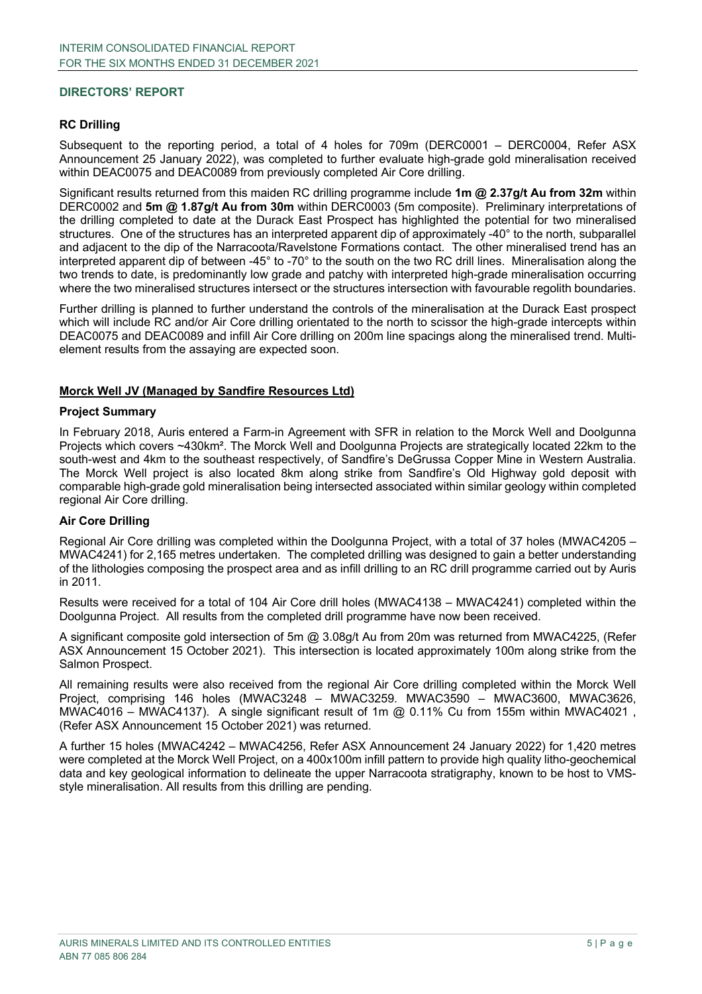#### **RC Drilling**

Subsequent to the reporting period, a total of 4 holes for 709m (DERC0001 – DERC0004, Refer ASX Announcement 25 January 2022), was completed to further evaluate high-grade gold mineralisation received within DEAC0075 and DEAC0089 from previously completed Air Core drilling.

Significant results returned from this maiden RC drilling programme include **1m @ 2.37g/t Au from 32m** within DERC0002 and **5m @ 1.87g/t Au from 30m** within DERC0003 (5m composite). Preliminary interpretations of the drilling completed to date at the Durack East Prospect has highlighted the potential for two mineralised structures. One of the structures has an interpreted apparent dip of approximately -40° to the north, subparallel and adjacent to the dip of the Narracoota/Ravelstone Formations contact. The other mineralised trend has an interpreted apparent dip of between -45° to -70° to the south on the two RC drill lines. Mineralisation along the two trends to date, is predominantly low grade and patchy with interpreted high-grade mineralisation occurring where the two mineralised structures intersect or the structures intersection with favourable regolith boundaries.

Further drilling is planned to further understand the controls of the mineralisation at the Durack East prospect which will include RC and/or Air Core drilling orientated to the north to scissor the high-grade intercepts within DEAC0075 and DEAC0089 and infill Air Core drilling on 200m line spacings along the mineralised trend. Multielement results from the assaying are expected soon.

#### **Morck Well JV (Managed by Sandfire Resources Ltd)**

#### **Project Summary**

In February 2018, Auris entered a Farm-in Agreement with SFR in relation to the Morck Well and Doolgunna Projects which covers ~430km². The Morck Well and Doolgunna Projects are strategically located 22km to the south-west and 4km to the southeast respectively, of Sandfire's DeGrussa Copper Mine in Western Australia. The Morck Well project is also located 8km along strike from Sandfire's Old Highway gold deposit with comparable high-grade gold mineralisation being intersected associated within similar geology within completed regional Air Core drilling.

#### **Air Core Drilling**

Regional Air Core drilling was completed within the Doolgunna Project, with a total of 37 holes (MWAC4205 – MWAC4241) for 2,165 metres undertaken. The completed drilling was designed to gain a better understanding of the lithologies composing the prospect area and as infill drilling to an RC drill programme carried out by Auris in 2011.

Results were received for a total of 104 Air Core drill holes (MWAC4138 – MWAC4241) completed within the Doolgunna Project. All results from the completed drill programme have now been received.

A significant composite gold intersection of 5m @ 3.08g/t Au from 20m was returned from MWAC4225, (Refer ASX Announcement 15 October 2021). This intersection is located approximately 100m along strike from the Salmon Prospect.

All remaining results were also received from the regional Air Core drilling completed within the Morck Well Project, comprising 146 holes (MWAC3248 – MWAC3259. MWAC3590 – MWAC3600, MWAC3626, MWAC4016 – MWAC4137). A single significant result of 1m  $@$  0.11% Cu from 155m within MWAC4021, (Refer ASX Announcement 15 October 2021) was returned.

A further 15 holes (MWAC4242 – MWAC4256, Refer ASX Announcement 24 January 2022) for 1,420 metres were completed at the Morck Well Project, on a 400x100m infill pattern to provide high quality litho-geochemical data and key geological information to delineate the upper Narracoota stratigraphy, known to be host to VMSstyle mineralisation. All results from this drilling are pending.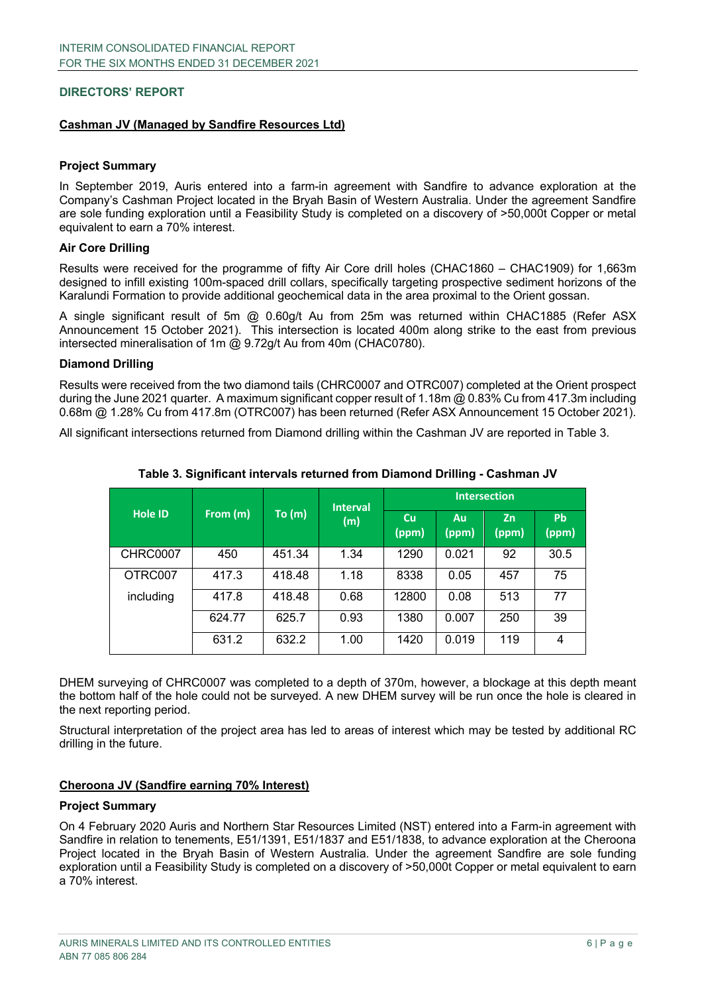#### **Cashman JV (Managed by Sandfire Resources Ltd)**

#### **Project Summary**

In September 2019, Auris entered into a farm-in agreement with Sandfire to advance exploration at the Company's Cashman Project located in the Bryah Basin of Western Australia. Under the agreement Sandfire are sole funding exploration until a Feasibility Study is completed on a discovery of >50,000t Copper or metal equivalent to earn a 70% interest.

#### **Air Core Drilling**

Results were received for the programme of fifty Air Core drill holes (CHAC1860 – CHAC1909) for 1,663m designed to infill existing 100m-spaced drill collars, specifically targeting prospective sediment horizons of the Karalundi Formation to provide additional geochemical data in the area proximal to the Orient gossan.

A single significant result of 5m @ 0.60g/t Au from 25m was returned within CHAC1885 (Refer ASX Announcement 15 October 2021). This intersection is located 400m along strike to the east from previous intersected mineralisation of 1m  $\omega$  9.72g/t Au from 40m (CHAC0780).

#### **Diamond Drilling**

Results were received from the two diamond tails (CHRC0007 and OTRC007) completed at the Orient prospect during the June 2021 quarter. A maximum significant copper result of 1.18m @ 0.83% Cu from 417.3m including 0.68m @ 1.28% Cu from 417.8m (OTRC007) has been returned (Refer ASX Announcement 15 October 2021).

All significant intersections returned from Diamond drilling within the Cashman JV are reported in Table 3.

|                 |          |              | <b>Interval</b> | <b>Intersection</b> |             |             |                    |
|-----------------|----------|--------------|-----------------|---------------------|-------------|-------------|--------------------|
| <b>Hole ID</b>  | From (m) | To(m)<br>(m) |                 | <b>Cu</b><br>(ppm)  | Au<br>(ppm) | Zn<br>(ppm) | <b>Pb</b><br>(ppm) |
| <b>CHRC0007</b> | 450      | 451.34       | 1.34            | 1290                | 0.021       | 92          | 30.5               |
| OTRC007         | 417.3    | 418.48       | 1.18            | 8338                | 0.05        | 457         | 75                 |
| including       | 417.8    | 418.48       | 0.68            | 12800               | 0.08        | 513         | 77                 |
|                 | 624.77   | 625.7        | 0.93            | 1380                | 0.007       | 250         | 39                 |
|                 | 631.2    | 632.2        | 1.00            | 1420                | 0.019       | 119         | 4                  |

#### **Table 3. Significant intervals returned from Diamond Drilling - Cashman JV**

DHEM surveying of CHRC0007 was completed to a depth of 370m, however, a blockage at this depth meant the bottom half of the hole could not be surveyed. A new DHEM survey will be run once the hole is cleared in the next reporting period.

Structural interpretation of the project area has led to areas of interest which may be tested by additional RC drilling in the future.

#### **Cheroona JV (Sandfire earning 70% Interest)**

#### **Project Summary**

On 4 February 2020 Auris and Northern Star Resources Limited (NST) entered into a Farm-in agreement with Sandfire in relation to tenements, E51/1391, E51/1837 and E51/1838, to advance exploration at the Cheroona Project located in the Bryah Basin of Western Australia. Under the agreement Sandfire are sole funding exploration until a Feasibility Study is completed on a discovery of >50,000t Copper or metal equivalent to earn a 70% interest.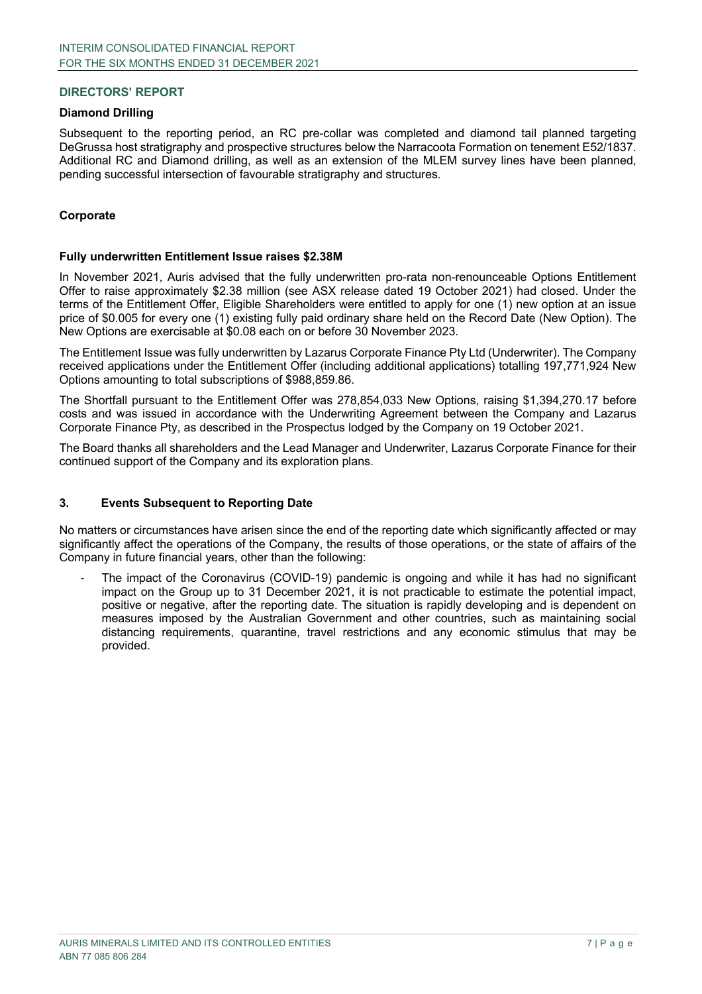#### **Diamond Drilling**

Subsequent to the reporting period, an RC pre-collar was completed and diamond tail planned targeting DeGrussa host stratigraphy and prospective structures below the Narracoota Formation on tenement E52/1837. Additional RC and Diamond drilling, as well as an extension of the MLEM survey lines have been planned, pending successful intersection of favourable stratigraphy and structures.

#### **Corporate**

#### **Fully underwritten Entitlement Issue raises \$2.38M**

In November 2021, Auris advised that the fully underwritten pro-rata non-renounceable Options Entitlement Offer to raise approximately \$2.38 million (see ASX release dated 19 October 2021) had closed. Under the terms of the Entitlement Offer, Eligible Shareholders were entitled to apply for one (1) new option at an issue price of \$0.005 for every one (1) existing fully paid ordinary share held on the Record Date (New Option). The New Options are exercisable at \$0.08 each on or before 30 November 2023.

The Entitlement Issue was fully underwritten by Lazarus Corporate Finance Pty Ltd (Underwriter). The Company received applications under the Entitlement Offer (including additional applications) totalling 197,771,924 New Options amounting to total subscriptions of \$988,859.86.

The Shortfall pursuant to the Entitlement Offer was 278,854,033 New Options, raising \$1,394,270.17 before costs and was issued in accordance with the Underwriting Agreement between the Company and Lazarus Corporate Finance Pty, as described in the Prospectus lodged by the Company on 19 October 2021.

The Board thanks all shareholders and the Lead Manager and Underwriter, Lazarus Corporate Finance for their continued support of the Company and its exploration plans.

#### **3. Events Subsequent to Reporting Date**

No matters or circumstances have arisen since the end of the reporting date which significantly affected or may significantly affect the operations of the Company, the results of those operations, or the state of affairs of the Company in future financial years, other than the following:

The impact of the Coronavirus (COVID-19) pandemic is ongoing and while it has had no significant impact on the Group up to 31 December 2021, it is not practicable to estimate the potential impact, positive or negative, after the reporting date. The situation is rapidly developing and is dependent on measures imposed by the Australian Government and other countries, such as maintaining social distancing requirements, quarantine, travel restrictions and any economic stimulus that may be provided.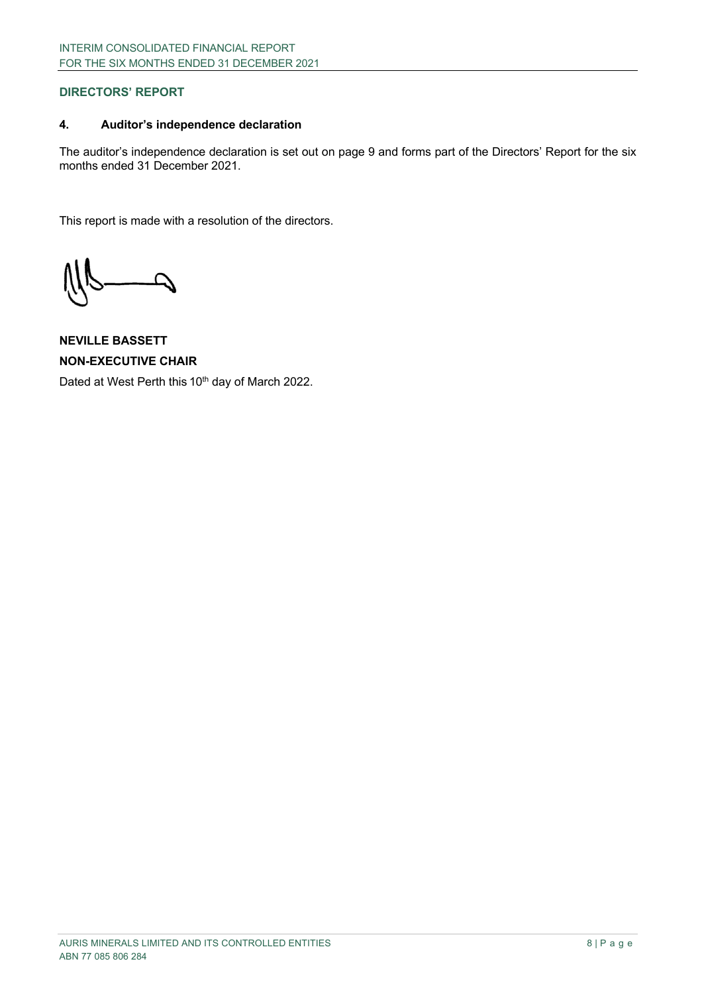# **4. Auditor's independence declaration**

The auditor's independence declaration is set out on page 9 and forms part of the Directors' Report for the six months ended 31 December 2021.

This report is made with a resolution of the directors.

**NEVILLE BASSETT NON-EXECUTIVE CHAIR** Dated at West Perth this 10<sup>th</sup> day of March 2022.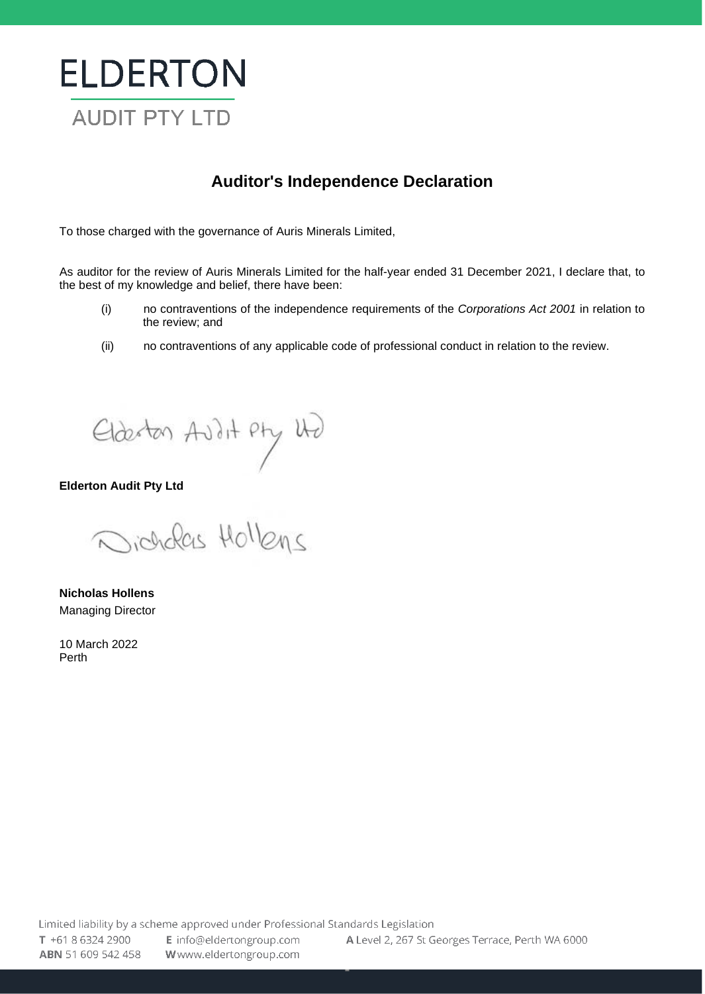# **ELDERTON** AUDIT PTY LTD

# **Auditor's Independence Declaration**

To those charged with the governance of Auris Minerals Limited,

As auditor for the review of Auris Minerals Limited for the half-year ended 31 December 2021, I declare that, to the best of my knowledge and belief, there have been:

- (i) no contraventions of the independence requirements of the *Corporations Act 2001* in relation to the review; and
- (ii) no contraventions of any applicable code of professional conduct in relation to the review.

Elderton Avil Apry We

**Elderton Audit Pty Ltd**

sicholas Hollens

**ABN** 51 609 542 458 **W**[www.eldertongroup.com](http://www.eldertoncapital.com/) 

**Nicholas Hollens** Managing Director

10 March 2022 Perth

4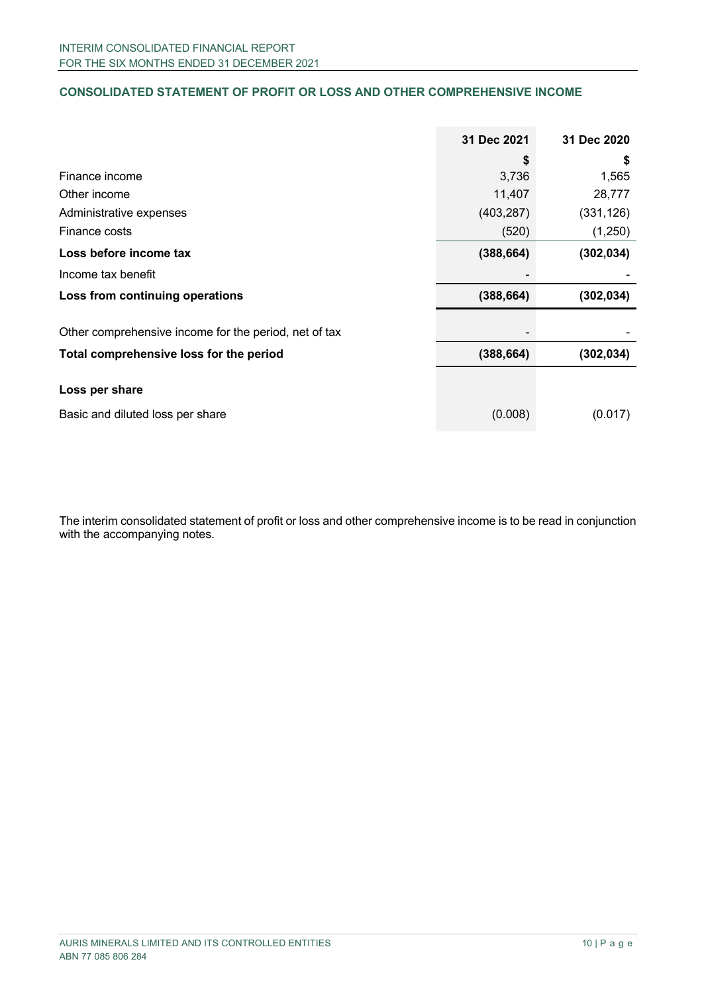# **CONSOLIDATED STATEMENT OF PROFIT OR LOSS AND OTHER COMPREHENSIVE INCOME**

|                                                       | 31 Dec 2021 | 31 Dec 2020 |
|-------------------------------------------------------|-------------|-------------|
|                                                       | \$          | \$          |
| Finance income                                        | 3,736       | 1,565       |
| Other income                                          | 11,407      | 28,777      |
| Administrative expenses                               | (403, 287)  | (331, 126)  |
| Finance costs                                         | (520)       | (1,250)     |
| Loss before income tax                                | (388, 664)  | (302, 034)  |
| Income tax benefit                                    |             |             |
| Loss from continuing operations                       | (388, 664)  | (302, 034)  |
| Other comprehensive income for the period, net of tax |             |             |
| Total comprehensive loss for the period               | (388, 664)  | (302, 034)  |
| Loss per share                                        |             |             |
| Basic and diluted loss per share                      | (0.008)     | (0.017)     |

The interim consolidated statement of profit or loss and other comprehensive income is to be read in conjunction with the accompanying notes.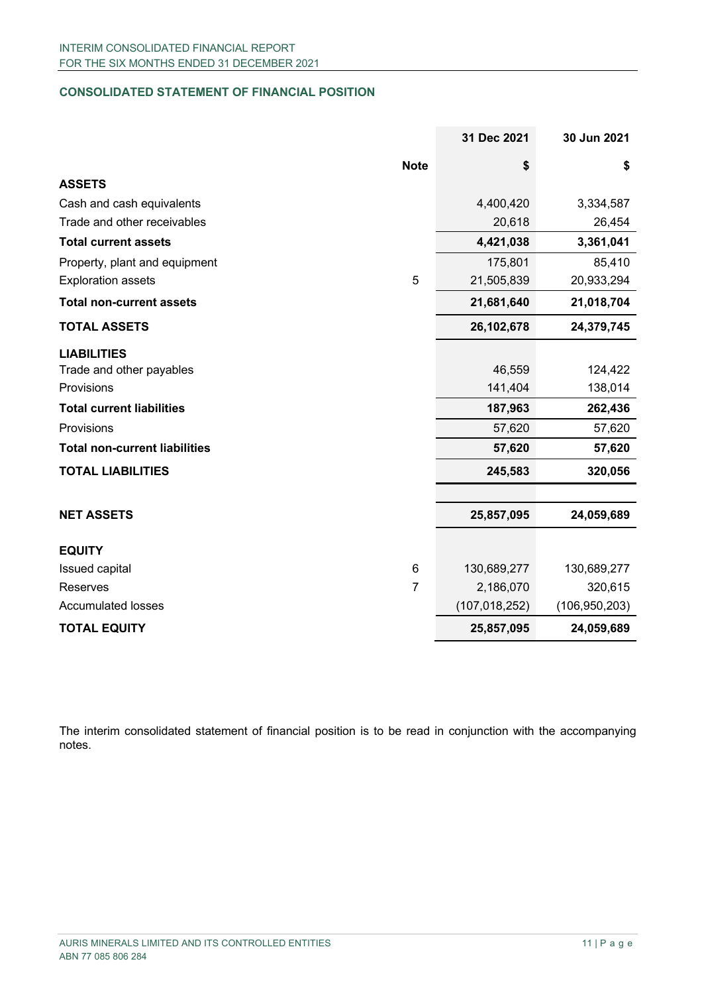# **CONSOLIDATED STATEMENT OF FINANCIAL POSITION**

|                                      |                | 31 Dec 2021     | 30 Jun 2021     |
|--------------------------------------|----------------|-----------------|-----------------|
|                                      | <b>Note</b>    | \$              | \$              |
| <b>ASSETS</b>                        |                |                 |                 |
| Cash and cash equivalents            |                | 4,400,420       | 3,334,587       |
| Trade and other receivables          |                | 20,618          | 26,454          |
| <b>Total current assets</b>          |                | 4,421,038       | 3,361,041       |
| Property, plant and equipment        |                | 175,801         | 85,410          |
| <b>Exploration assets</b>            | 5              | 21,505,839      | 20,933,294      |
| <b>Total non-current assets</b>      |                | 21,681,640      | 21,018,704      |
| <b>TOTAL ASSETS</b>                  |                | 26,102,678      | 24,379,745      |
| <b>LIABILITIES</b>                   |                |                 |                 |
| Trade and other payables             |                | 46,559          | 124,422         |
| Provisions                           |                | 141,404         | 138,014         |
| <b>Total current liabilities</b>     |                | 187,963         | 262,436         |
| Provisions                           |                | 57,620          | 57,620          |
| <b>Total non-current liabilities</b> |                | 57,620          | 57,620          |
| <b>TOTAL LIABILITIES</b>             |                | 245,583         | 320,056         |
|                                      |                |                 |                 |
| <b>NET ASSETS</b>                    |                | 25,857,095      | 24,059,689      |
| <b>EQUITY</b>                        |                |                 |                 |
| Issued capital                       | $\,6$          | 130,689,277     | 130,689,277     |
| <b>Reserves</b>                      | $\overline{7}$ | 2,186,070       | 320,615         |
| <b>Accumulated losses</b>            |                | (107, 018, 252) | (106, 950, 203) |
| <b>TOTAL EQUITY</b>                  |                | 25,857,095      | 24,059,689      |

The interim consolidated statement of financial position is to be read in conjunction with the accompanying notes.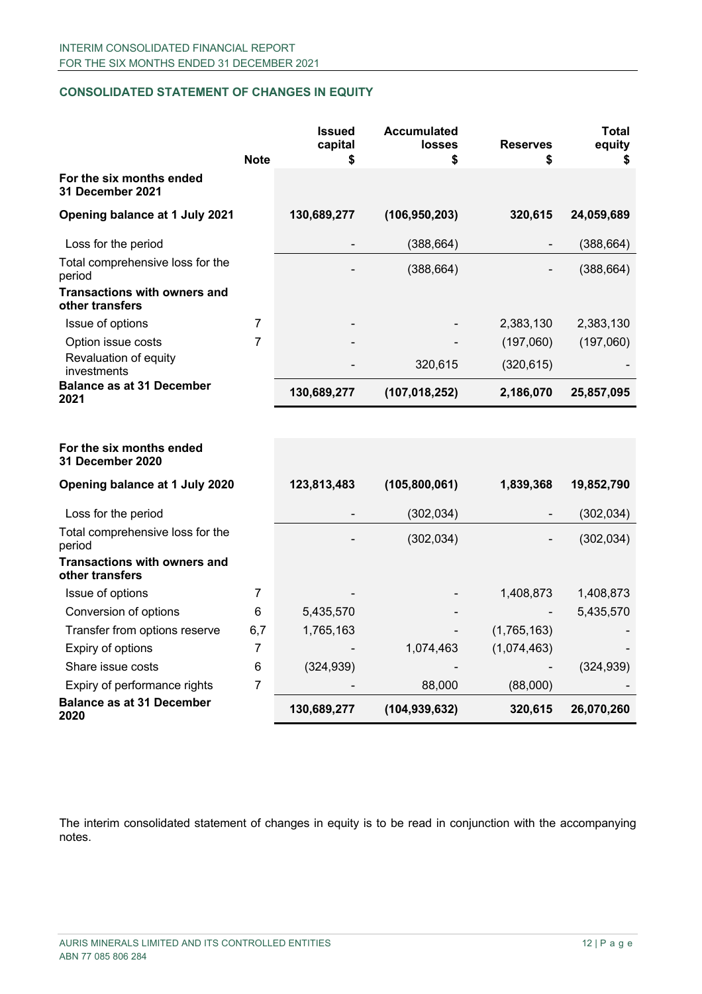# **CONSOLIDATED STATEMENT OF CHANGES IN EQUITY**

|                                                        | <b>Note</b>    | <b>Issued</b><br>capital<br>\$ | <b>Accumulated</b><br><b>losses</b><br>\$ | <b>Reserves</b><br>\$ | Total<br>equity<br>\$ |
|--------------------------------------------------------|----------------|--------------------------------|-------------------------------------------|-----------------------|-----------------------|
| For the six months ended<br>31 December 2021           |                |                                |                                           |                       |                       |
| Opening balance at 1 July 2021                         |                | 130,689,277                    | (106, 950, 203)                           | 320,615               | 24,059,689            |
| Loss for the period                                    |                |                                | (388, 664)                                |                       | (388, 664)            |
| Total comprehensive loss for the<br>period             |                |                                | (388, 664)                                |                       | (388, 664)            |
| <b>Transactions with owners and</b><br>other transfers |                |                                |                                           |                       |                       |
| Issue of options                                       | 7              |                                |                                           | 2,383,130             | 2,383,130             |
| Option issue costs                                     | $\overline{7}$ |                                |                                           | (197,060)             | (197,060)             |
| Revaluation of equity<br>investments                   |                |                                | 320,615                                   | (320, 615)            |                       |
| <b>Balance as at 31 December</b><br>2021               |                | 130,689,277                    | (107, 018, 252)                           | 2,186,070             | 25,857,095            |
|                                                        |                |                                |                                           |                       |                       |
| For the six months ended<br>31 December 2020           |                |                                |                                           |                       |                       |
| Opening balance at 1 July 2020                         |                | 123,813,483                    | (105, 800, 061)                           | 1,839,368             | 19,852,790            |
| Loss for the period                                    |                |                                | (302, 034)                                |                       | (302, 034)            |
| Total comprehensive loss for the<br>period             |                |                                | (302, 034)                                |                       | (302, 034)            |
| <b>Transactions with owners and</b><br>other transfers |                |                                |                                           |                       |                       |
| Issue of options                                       | 7              |                                |                                           | 1,408,873             | 1,408,873             |
| Conversion of options                                  | 6              | 5,435,570                      |                                           |                       | 5,435,570             |
| Transfer from options reserve                          | 6,7            | 1,765,163                      |                                           | (1,765,163)           |                       |
| Expiry of options                                      | $\overline{7}$ |                                | 1,074,463                                 | (1,074,463)           |                       |
| Share issue costs                                      | 6              | (324, 939)                     |                                           |                       | (324, 939)            |
| Expiry of performance rights                           | 7              |                                | 88,000                                    | (88,000)              |                       |
| <b>Balance as at 31 December</b><br>2020               |                | 130,689,277                    | (104, 939, 632)                           | 320,615               | 26,070,260            |

The interim consolidated statement of changes in equity is to be read in conjunction with the accompanying notes.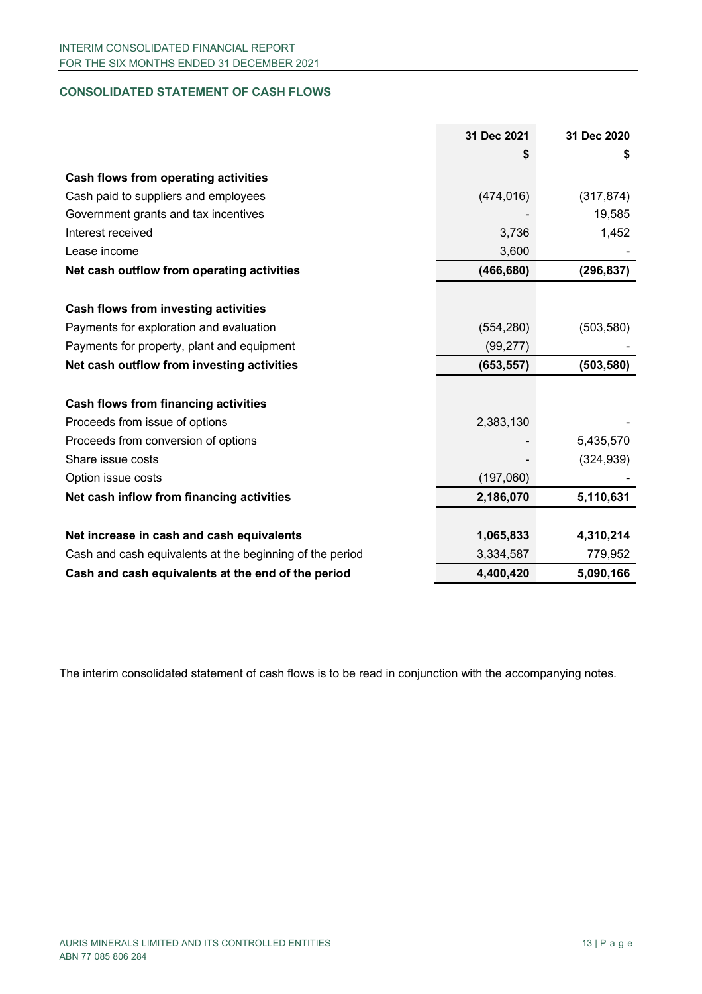# **CONSOLIDATED STATEMENT OF CASH FLOWS**

|                                                          | 31 Dec 2021 | 31 Dec 2020 |
|----------------------------------------------------------|-------------|-------------|
|                                                          |             | S           |
| <b>Cash flows from operating activities</b>              |             |             |
| Cash paid to suppliers and employees                     | (474, 016)  | (317, 874)  |
| Government grants and tax incentives                     |             | 19,585      |
| Interest received                                        | 3,736       | 1,452       |
| Lease income                                             | 3,600       |             |
| Net cash outflow from operating activities               | (466, 680)  | (296, 837)  |
|                                                          |             |             |
| <b>Cash flows from investing activities</b>              |             |             |
| Payments for exploration and evaluation                  | (554, 280)  | (503, 580)  |
| Payments for property, plant and equipment               | (99, 277)   |             |
| Net cash outflow from investing activities               | (653, 557)  | (503, 580)  |
|                                                          |             |             |
| <b>Cash flows from financing activities</b>              |             |             |
| Proceeds from issue of options                           | 2,383,130   |             |
| Proceeds from conversion of options                      |             | 5,435,570   |
| Share issue costs                                        |             | (324, 939)  |
| Option issue costs                                       | (197,060)   |             |
| Net cash inflow from financing activities                | 2,186,070   | 5,110,631   |
|                                                          |             |             |
| Net increase in cash and cash equivalents                | 1,065,833   | 4,310,214   |
| Cash and cash equivalents at the beginning of the period | 3,334,587   | 779,952     |
| Cash and cash equivalents at the end of the period       | 4,400,420   | 5,090,166   |

The interim consolidated statement of cash flows is to be read in conjunction with the accompanying notes.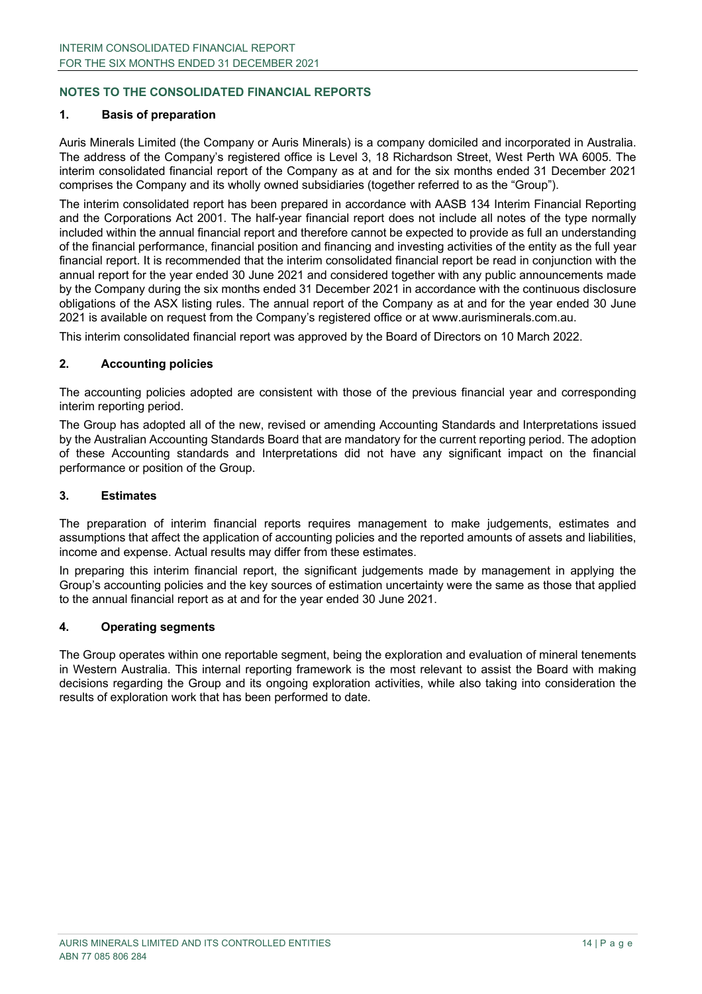# **NOTES TO THE CONSOLIDATED FINANCIAL REPORTS**

#### **1. Basis of preparation**

Auris Minerals Limited (the Company or Auris Minerals) is a company domiciled and incorporated in Australia. The address of the Company's registered office is Level 3, 18 Richardson Street, West Perth WA 6005. The interim consolidated financial report of the Company as at and for the six months ended 31 December 2021 comprises the Company and its wholly owned subsidiaries (together referred to as the "Group").

The interim consolidated report has been prepared in accordance with AASB 134 Interim Financial Reporting and the Corporations Act 2001. The half-year financial report does not include all notes of the type normally included within the annual financial report and therefore cannot be expected to provide as full an understanding of the financial performance, financial position and financing and investing activities of the entity as the full year financial report. It is recommended that the interim consolidated financial report be read in conjunction with the annual report for the year ended 30 June 2021 and considered together with any public announcements made by the Company during the six months ended 31 December 2021 in accordance with the continuous disclosure obligations of the ASX listing rules. The annual report of the Company as at and for the year ended 30 June 2021 is available on request from the Company's registered office or at www.aurisminerals.com.au.

This interim consolidated financial report was approved by the Board of Directors on 10 March 2022.

#### **2. Accounting policies**

The accounting policies adopted are consistent with those of the previous financial year and corresponding interim reporting period.

The Group has adopted all of the new, revised or amending Accounting Standards and Interpretations issued by the Australian Accounting Standards Board that are mandatory for the current reporting period. The adoption of these Accounting standards and Interpretations did not have any significant impact on the financial performance or position of the Group.

#### **3. Estimates**

The preparation of interim financial reports requires management to make judgements, estimates and assumptions that affect the application of accounting policies and the reported amounts of assets and liabilities, income and expense. Actual results may differ from these estimates.

In preparing this interim financial report, the significant judgements made by management in applying the Group's accounting policies and the key sources of estimation uncertainty were the same as those that applied to the annual financial report as at and for the year ended 30 June 2021.

## **4. Operating segments**

The Group operates within one reportable segment, being the exploration and evaluation of mineral tenements in Western Australia. This internal reporting framework is the most relevant to assist the Board with making decisions regarding the Group and its ongoing exploration activities, while also taking into consideration the results of exploration work that has been performed to date.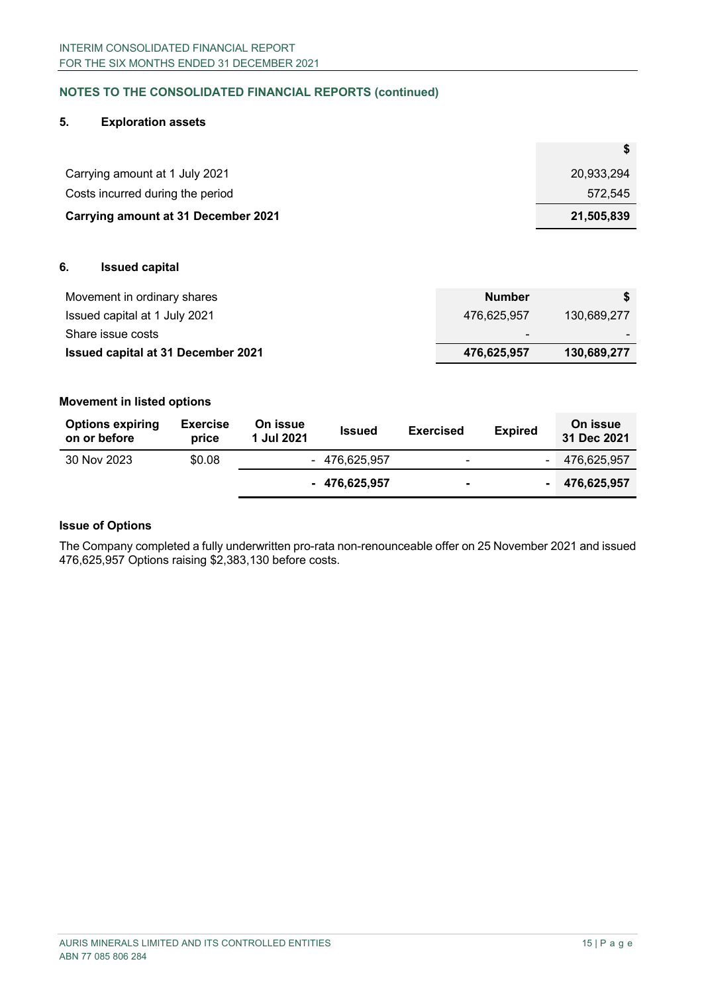# **NOTES TO THE CONSOLIDATED FINANCIAL REPORTS (continued)**

#### **5. Exploration assets**

| Carrying amount at 1 July 2021             | 20,933,294 |
|--------------------------------------------|------------|
| Costs incurred during the period           | 572.545    |
| <b>Carrying amount at 31 December 2021</b> | 21,505,839 |

## **6. Issued capital**

| Movement in ordinary shares               | <b>Number</b> |             |
|-------------------------------------------|---------------|-------------|
| Issued capital at 1 July 2021             | 476.625.957   | 130.689.277 |
| Share issue costs                         | -             |             |
| <b>Issued capital at 31 December 2021</b> | 476,625,957   | 130,689,277 |

#### **Movement in listed options**

| <b>Options expiring</b><br>on or before | <b>Exercise</b><br>price | On issue<br>1 Jul 2021 | <b>Issued</b>  | <b>Exercised</b>         | <b>Expired</b> | On issue<br>31 Dec 2021 |
|-----------------------------------------|--------------------------|------------------------|----------------|--------------------------|----------------|-------------------------|
| 30 Nov 2023                             | \$0.08                   |                        | - 476.625.957  | $\overline{\phantom{0}}$ | $\blacksquare$ | 476,625,957             |
|                                         |                          |                        | $-476.625.957$ | ۰                        |                | 476.625.957             |

# **Issue of Options**

The Company completed a fully underwritten pro-rata non-renounceable offer on 25 November 2021 and issued 476,625,957 Options raising \$2,383,130 before costs.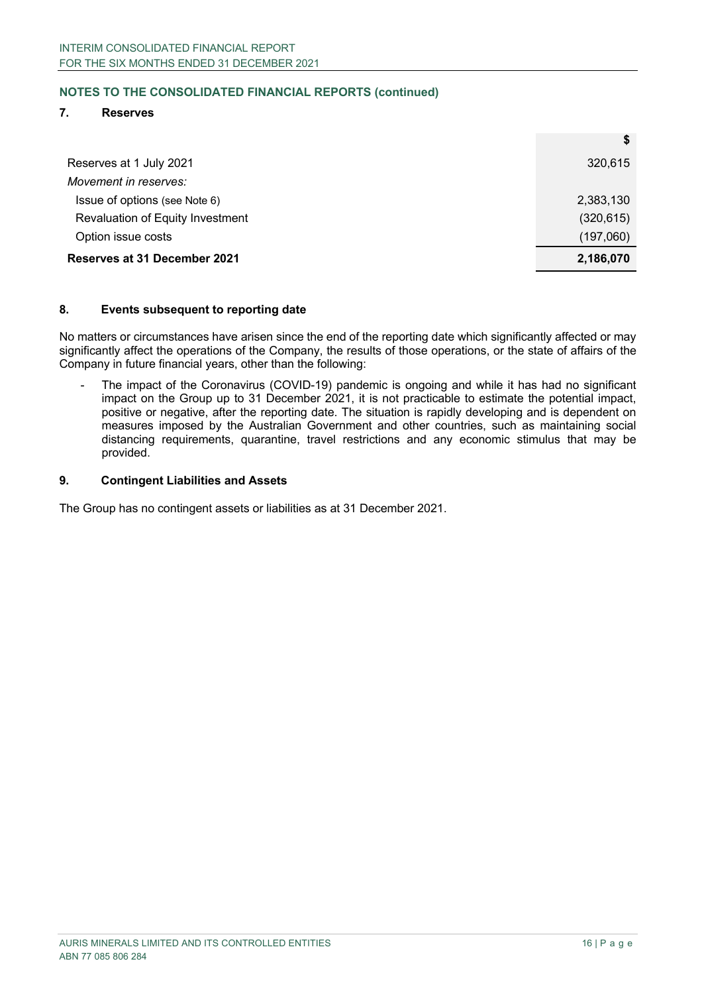# **NOTES TO THE CONSOLIDATED FINANCIAL REPORTS (continued)**

## **7. Reserves**

| Reserves at 1 July 2021          | 320,615    |
|----------------------------------|------------|
| Movement in reserves:            |            |
| Issue of options (see Note 6)    | 2,383,130  |
| Revaluation of Equity Investment | (320, 615) |
| Option issue costs               | (197,060)  |
| Reserves at 31 December 2021     | 2,186,070  |

#### **8. Events subsequent to reporting date**

No matters or circumstances have arisen since the end of the reporting date which significantly affected or may significantly affect the operations of the Company, the results of those operations, or the state of affairs of the Company in future financial years, other than the following:

The impact of the Coronavirus (COVID-19) pandemic is ongoing and while it has had no significant impact on the Group up to 31 December 2021, it is not practicable to estimate the potential impact, positive or negative, after the reporting date. The situation is rapidly developing and is dependent on measures imposed by the Australian Government and other countries, such as maintaining social distancing requirements, quarantine, travel restrictions and any economic stimulus that may be provided.

#### **9. Contingent Liabilities and Assets**

The Group has no contingent assets or liabilities as at 31 December 2021.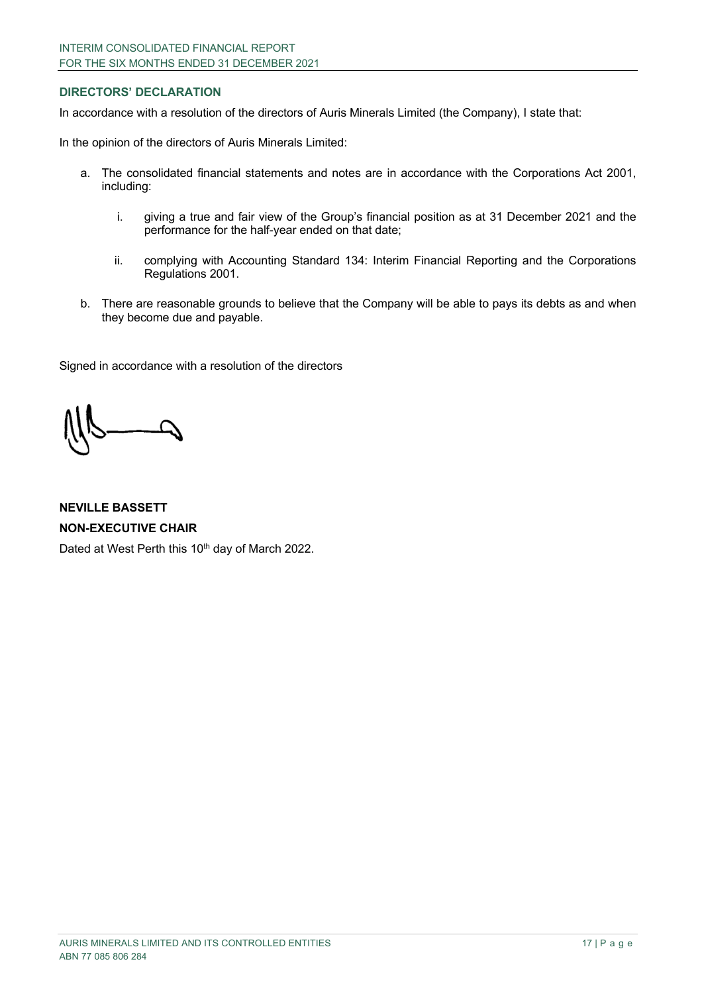## **DIRECTORS' DECLARATION**

In accordance with a resolution of the directors of Auris Minerals Limited (the Company), I state that:

In the opinion of the directors of Auris Minerals Limited:

- a. The consolidated financial statements and notes are in accordance with the Corporations Act 2001, including:
	- i. giving a true and fair view of the Group's financial position as at 31 December 2021 and the performance for the half-year ended on that date;
	- ii. complying with Accounting Standard 134: Interim Financial Reporting and the Corporations Regulations 2001.
- b. There are reasonable grounds to believe that the Company will be able to pays its debts as and when they become due and payable.

Signed in accordance with a resolution of the directors

**NEVILLE BASSETT NON-EXECUTIVE CHAIR** Dated at West Perth this 10<sup>th</sup> day of March 2022.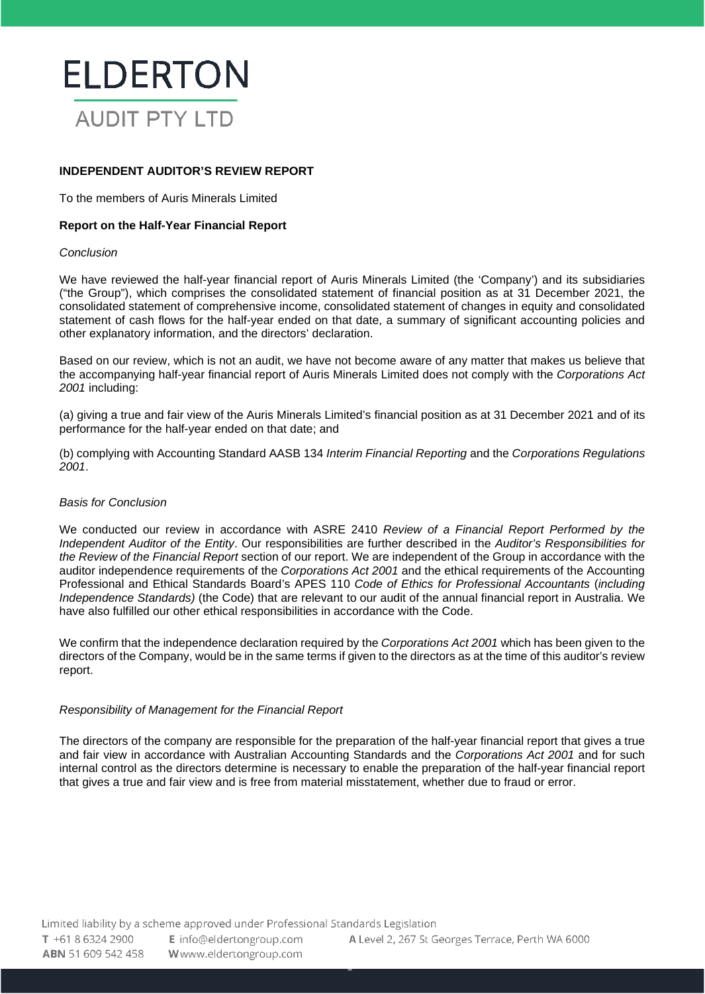

# **INDEPENDENT AUDITOR'S REVIEW REPORT**

To the members of Auris Minerals Limited

#### **Report on the Half-Year Financial Report**

#### *Conclusion*

We have reviewed the half-year financial report of Auris Minerals Limited (the 'Company') and its subsidiaries ("the Group"), which comprises the consolidated statement of financial position as at 31 December 2021, the consolidated statement of comprehensive income, consolidated statement of changes in equity and consolidated statement of cash flows for the half-year ended on that date, a summary of significant accounting policies and other explanatory information, and the directors' declaration.

Based on our review, which is not an audit, we have not become aware of any matter that makes us believe that the accompanying half-year financial report of Auris Minerals Limited does not comply with the *Corporations Act 2001* including:

(a) giving a true and fair view of the Auris Minerals Limited's financial position as at 31 December 2021 and of its performance for the half-year ended on that date; and

(b) complying with Accounting Standard AASB 134 *Interim Financial Reporting* and the *Corporations Regulations 2001*.

#### *Basis for Conclusion*

We conducted our review in accordance with ASRE 2410 *Review of a Financial Report Performed by the Independent Auditor of the Entity*. Our responsibilities are further described in the *Auditor's Responsibilities for the Review of the Financial Report* section of our report. We are independent of the Group in accordance with the auditor independence requirements of the *Corporations Act 2001* and the ethical requirements of the Accounting Professional and Ethical Standards Board's APES 110 *Code of Ethics for Professional Accountants* (*including Independence Standards)* (the Code) that are relevant to our audit of the annual financial report in Australia. We have also fulfilled our other ethical responsibilities in accordance with the Code.

We confirm that the independence declaration required by the *Corporations Act 2001* which has been given to the directors of the Company, would be in the same terms if given to the directors as at the time of this auditor's review report.

#### *Responsibility of Management for the Financial Report*

The directors of the company are responsible for the preparation of the half-year financial report that gives a true and fair view in accordance with Australian Accounting Standards and the *Corporations Act 2001* and for such internal control as the directors determine is necessary to enable the preparation of the half-year financial report that gives a true and fair view and is free from material misstatement, whether due to fraud or error.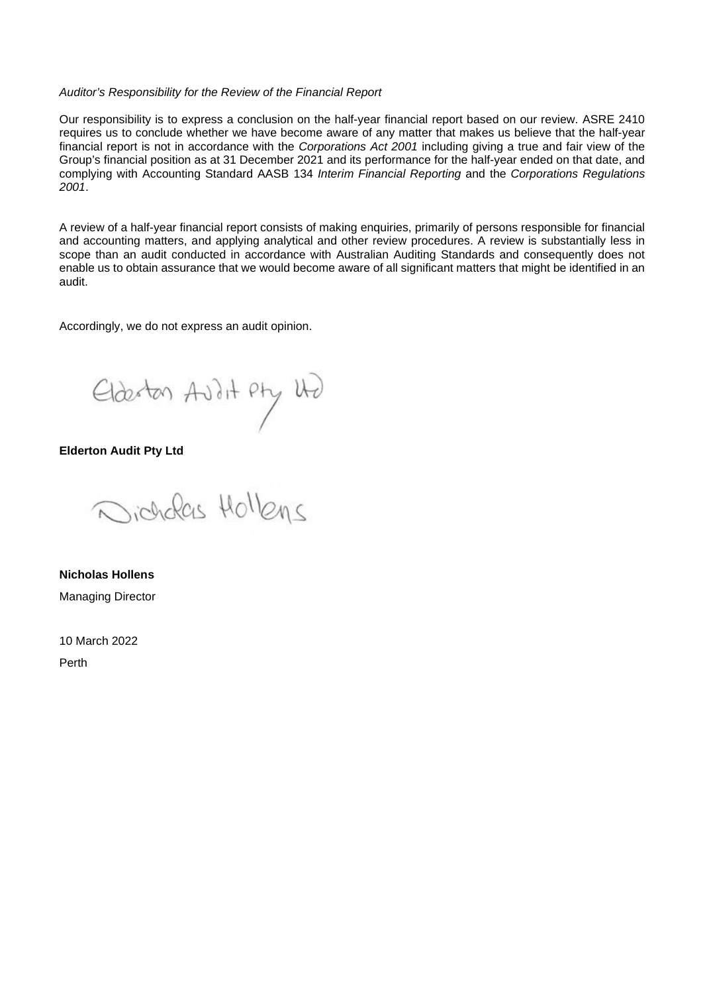#### *Auditor's Responsibility for the Review of the Financial Report*

Our responsibility is to express a conclusion on the half-year financial report based on our review. ASRE 2410 requires us to conclude whether we have become aware of any matter that makes us believe that the half-year financial report is not in accordance with the *Corporations Act 2001* including giving a true and fair view of the Group's financial position as at 31 December 2021 and its performance for the half-year ended on that date, and complying with Accounting Standard AASB 134 *Interim Financial Reporting* and the *Corporations Regulations 2001*.

A review of a half-year financial report consists of making enquiries, primarily of persons responsible for financial and accounting matters, and applying analytical and other review procedures. A review is substantially less in scope than an audit conducted in accordance with Australian Auditing Standards and consequently does not enable us to obtain assurance that we would become aware of all significant matters that might be identified in an audit.

Accordingly, we do not express an audit opinion.

Elderton Avilit Pty Und

**Elderton Audit Pty Ltd**

victionales Hollena

**Nicholas Hollens** Managing Director

10 March 2022

Perth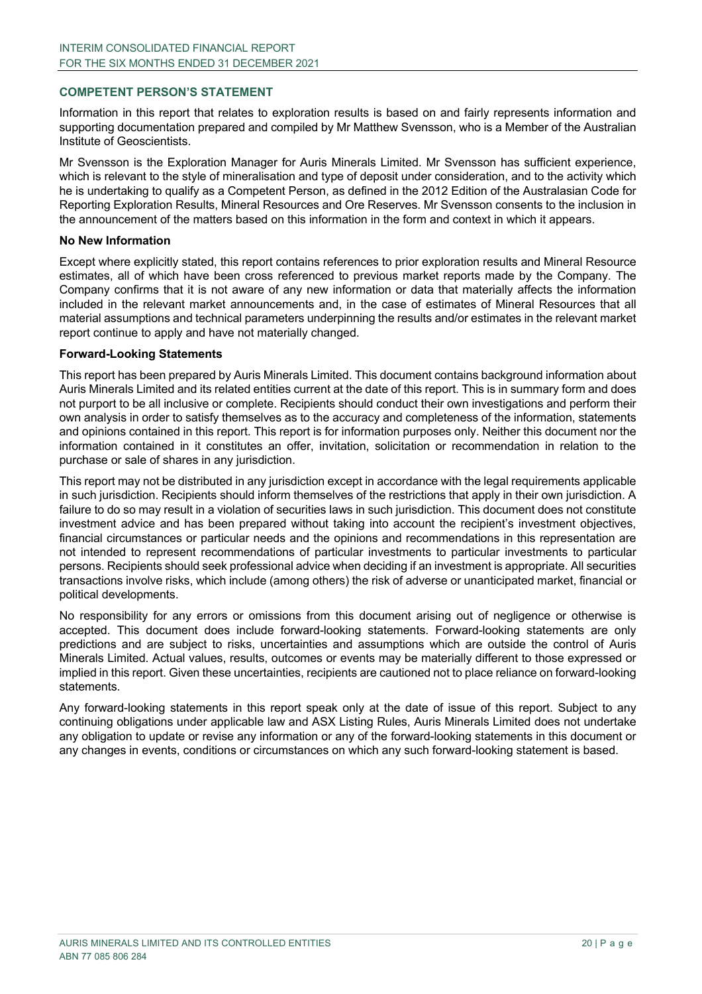#### **COMPETENT PERSON'S STATEMENT**

Information in this report that relates to exploration results is based on and fairly represents information and supporting documentation prepared and compiled by Mr Matthew Svensson, who is a Member of the Australian Institute of Geoscientists.

Mr Svensson is the Exploration Manager for Auris Minerals Limited. Mr Svensson has sufficient experience, which is relevant to the style of mineralisation and type of deposit under consideration, and to the activity which he is undertaking to qualify as a Competent Person, as defined in the 2012 Edition of the Australasian Code for Reporting Exploration Results, Mineral Resources and Ore Reserves. Mr Svensson consents to the inclusion in the announcement of the matters based on this information in the form and context in which it appears.

#### **No New Information**

Except where explicitly stated, this report contains references to prior exploration results and Mineral Resource estimates, all of which have been cross referenced to previous market reports made by the Company. The Company confirms that it is not aware of any new information or data that materially affects the information included in the relevant market announcements and, in the case of estimates of Mineral Resources that all material assumptions and technical parameters underpinning the results and/or estimates in the relevant market report continue to apply and have not materially changed.

#### **Forward-Looking Statements**

This report has been prepared by Auris Minerals Limited. This document contains background information about Auris Minerals Limited and its related entities current at the date of this report. This is in summary form and does not purport to be all inclusive or complete. Recipients should conduct their own investigations and perform their own analysis in order to satisfy themselves as to the accuracy and completeness of the information, statements and opinions contained in this report. This report is for information purposes only. Neither this document nor the information contained in it constitutes an offer, invitation, solicitation or recommendation in relation to the purchase or sale of shares in any jurisdiction.

This report may not be distributed in any jurisdiction except in accordance with the legal requirements applicable in such jurisdiction. Recipients should inform themselves of the restrictions that apply in their own jurisdiction. A failure to do so may result in a violation of securities laws in such jurisdiction. This document does not constitute investment advice and has been prepared without taking into account the recipient's investment objectives, financial circumstances or particular needs and the opinions and recommendations in this representation are not intended to represent recommendations of particular investments to particular investments to particular persons. Recipients should seek professional advice when deciding if an investment is appropriate. All securities transactions involve risks, which include (among others) the risk of adverse or unanticipated market, financial or political developments.

No responsibility for any errors or omissions from this document arising out of negligence or otherwise is accepted. This document does include forward-looking statements. Forward-looking statements are only predictions and are subject to risks, uncertainties and assumptions which are outside the control of Auris Minerals Limited. Actual values, results, outcomes or events may be materially different to those expressed or implied in this report. Given these uncertainties, recipients are cautioned not to place reliance on forward-looking statements.

Any forward-looking statements in this report speak only at the date of issue of this report. Subject to any continuing obligations under applicable law and ASX Listing Rules, Auris Minerals Limited does not undertake any obligation to update or revise any information or any of the forward-looking statements in this document or any changes in events, conditions or circumstances on which any such forward-looking statement is based.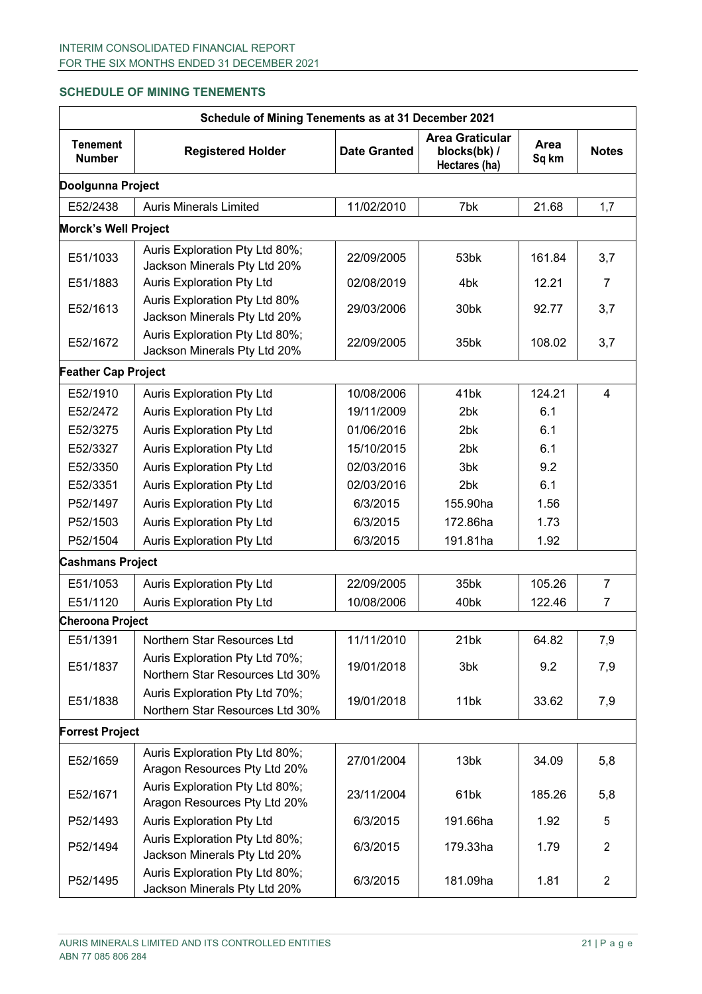# **SCHEDULE OF MINING TENEMENTS**

| Schedule of Mining Tenements as at 31 December 2021 |                                                                   |                     |                                                         |               |                |  |
|-----------------------------------------------------|-------------------------------------------------------------------|---------------------|---------------------------------------------------------|---------------|----------------|--|
| <b>Tenement</b><br><b>Number</b>                    | <b>Registered Holder</b>                                          | <b>Date Granted</b> | <b>Area Graticular</b><br>blocks(bk) /<br>Hectares (ha) | Area<br>Sq km | <b>Notes</b>   |  |
| Doolgunna Project                                   |                                                                   |                     |                                                         |               |                |  |
| E52/2438                                            | <b>Auris Minerals Limited</b>                                     | 11/02/2010          | 7bk                                                     | 21.68         | 1,7            |  |
| <b>Morck's Well Project</b>                         |                                                                   |                     |                                                         |               |                |  |
| E51/1033                                            | Auris Exploration Pty Ltd 80%;<br>Jackson Minerals Pty Ltd 20%    | 22/09/2005          | 53bk                                                    | 161.84        | 3,7            |  |
| E51/1883                                            | <b>Auris Exploration Pty Ltd</b>                                  | 02/08/2019          | 4 <sub>bk</sub>                                         | 12.21         | 7              |  |
| E52/1613                                            | Auris Exploration Pty Ltd 80%<br>Jackson Minerals Pty Ltd 20%     | 29/03/2006          | 30bk                                                    | 92.77         | 3,7            |  |
| E52/1672                                            | Auris Exploration Pty Ltd 80%;<br>Jackson Minerals Pty Ltd 20%    | 22/09/2005          | 35bk                                                    | 108.02        | 3,7            |  |
| <b>Feather Cap Project</b>                          |                                                                   |                     |                                                         |               |                |  |
| E52/1910                                            | <b>Auris Exploration Pty Ltd</b>                                  | 10/08/2006          | 41 <sub>bk</sub>                                        | 124.21        | $\overline{4}$ |  |
| E52/2472                                            | <b>Auris Exploration Pty Ltd</b>                                  | 19/11/2009          | 2bk                                                     | 6.1           |                |  |
| E52/3275                                            | <b>Auris Exploration Pty Ltd</b>                                  | 01/06/2016          | 2 <sub>bk</sub>                                         | 6.1           |                |  |
| E52/3327                                            | <b>Auris Exploration Pty Ltd</b>                                  | 15/10/2015          | 2bk                                                     | 6.1           |                |  |
| E52/3350                                            | <b>Auris Exploration Pty Ltd</b>                                  | 02/03/2016          | 3 <sub>bk</sub>                                         | 9.2           |                |  |
| E52/3351                                            | <b>Auris Exploration Pty Ltd</b>                                  | 02/03/2016          | 2bk                                                     | 6.1           |                |  |
| P52/1497                                            | Auris Exploration Pty Ltd                                         | 6/3/2015            | 155.90ha                                                | 1.56          |                |  |
| P52/1503                                            | <b>Auris Exploration Pty Ltd</b>                                  | 6/3/2015            | 172.86ha                                                | 1.73          |                |  |
| P52/1504                                            | <b>Auris Exploration Pty Ltd</b>                                  | 6/3/2015            | 191.81ha                                                | 1.92          |                |  |
| <b>Cashmans Project</b>                             |                                                                   |                     |                                                         |               |                |  |
| E51/1053                                            | Auris Exploration Pty Ltd                                         | 22/09/2005          | 35bk                                                    | 105.26        | $\overline{7}$ |  |
| E51/1120                                            | <b>Auris Exploration Pty Ltd</b>                                  | 10/08/2006          | 40 <sub>bk</sub>                                        | 122.46        | 7              |  |
| <b>Cheroona Project</b>                             |                                                                   |                     |                                                         |               |                |  |
| E51/1391                                            | Northern Star Resources Ltd                                       | 11/11/2010          | 21bk                                                    | 64.82         | 7,9            |  |
| E51/1837                                            | Auris Exploration Pty Ltd 70%;<br>Northern Star Resources Ltd 30% | 19/01/2018          | 3bk                                                     | 9.2           | 7,9            |  |
| E51/1838                                            | Auris Exploration Pty Ltd 70%;<br>Northern Star Resources Ltd 30% | 19/01/2018          | 11bk                                                    | 33.62         | 7,9            |  |
| <b>Forrest Project</b>                              |                                                                   |                     |                                                         |               |                |  |
| E52/1659                                            | Auris Exploration Pty Ltd 80%;<br>Aragon Resources Pty Ltd 20%    | 27/01/2004          | 13bk                                                    | 34.09         | 5,8            |  |
| E52/1671                                            | Auris Exploration Pty Ltd 80%;<br>Aragon Resources Pty Ltd 20%    | 23/11/2004          | 61bk                                                    | 185.26        | 5,8            |  |
| P52/1493                                            | Auris Exploration Pty Ltd                                         | 6/3/2015            | 191.66ha                                                | 1.92          | 5              |  |
| P52/1494                                            | Auris Exploration Pty Ltd 80%;<br>Jackson Minerals Pty Ltd 20%    | 6/3/2015            | 179.33ha                                                | 1.79          | $\overline{2}$ |  |
| P52/1495                                            | Auris Exploration Pty Ltd 80%;<br>Jackson Minerals Pty Ltd 20%    | 6/3/2015            | 181.09ha                                                | 1.81          | $\overline{2}$ |  |